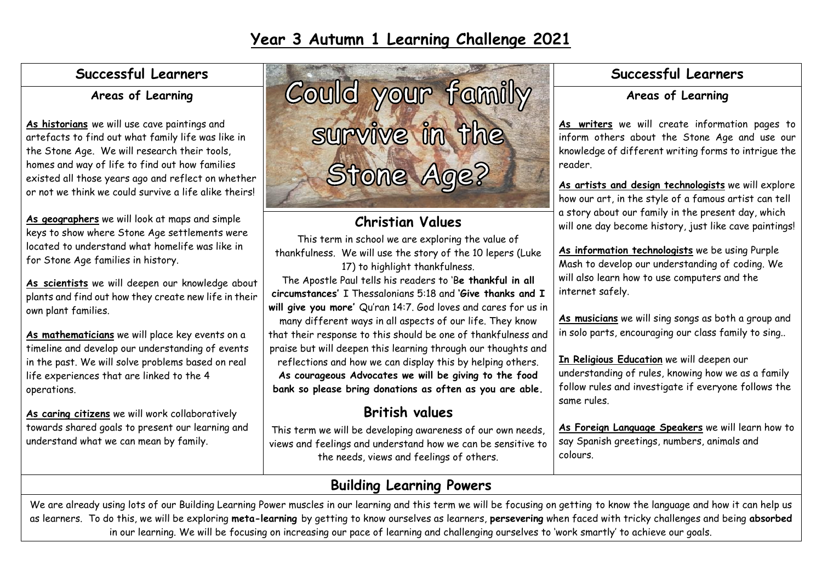### **Successful Learners**

### **Areas of Learning**

**As historians** we will use cave paintings and artefacts to find out what family life was like in the Stone Age. We will research their tools, homes and way of life to find out how families existed all those years ago and reflect on whether or not we think we could survive a life alike theirs!

**As geographers** we will look at maps and simple keys to show where Stone Age settlements were located to understand what homelife was like in for Stone Age families in history.

**As scientists** we will deepen our knowledge about plants and find out how they create new life in their own plant families.

**As mathematicians** we will place key events on a timeline and develop our understanding of events in the past. We will solve problems based on real life experiences that are linked to the 4 operations.

**As caring citizens** we will work collaboratively towards shared goals to present our learning and understand what we can mean by family.



# **Christian Values**

This term in school we are exploring the value of thankfulness. We will use the story of the 10 lepers (Luke 17) to highlight thankfulness.

The Apostle Paul tells his readers to 'B**e thankful in all circumstances'** I Thessalonians 5:18 and **'Give thanks and I will give you more'** Qu'ran 14:7. God loves and cares for us in

many different ways in all aspects of our life. They know that their response to this should be one of thankfulness and praise but will deepen this learning through our thoughts and reflections and how we can display this by helping others. **As courageous Advocates we will be giving to the food bank so please bring donations as often as you are able.**

# **British values**

This term we will be developing awareness of our own needs, views and feelings and understand how we can be sensitive to the needs, views and feelings of others.

## **Successful Learners**

### **Areas of Learning**

**As writers** we will create information pages to inform others about the Stone Age and use our knowledge of different writing forms to intrigue the reader.

**As artists and design technologists** we will explore how our art, in the style of a famous artist can tell a story about our family in the present day, which will one day become history, just like cave paintings!

**As information technologists** we be using Purple Mash to develop our understanding of coding. We will also learn how to use computers and the internet safely.

**As musicians** we will sing songs as both a group and in solo parts, encouraging our class family to sing..

**In Religious Education** we will deepen our understanding of rules, knowing how we as a family follow rules and investigate if everyone follows the same rules.

**As Foreign Language Speakers** we will learn how to say Spanish greetings, numbers, animals and colours.

# **Building Learning Powers**

We are already using lots of our Building Learning Power muscles in our learning and this term we will be focusing on getting to know the language and how it can help us as learners. To do this, we will be exploring **meta-learning** by getting to know ourselves as learners, **persevering** when faced with tricky challenges and being **absorbed** in our learning. We will be focusing on increasing our pace of learning and challenging ourselves to 'work smartly' to achieve our goals.